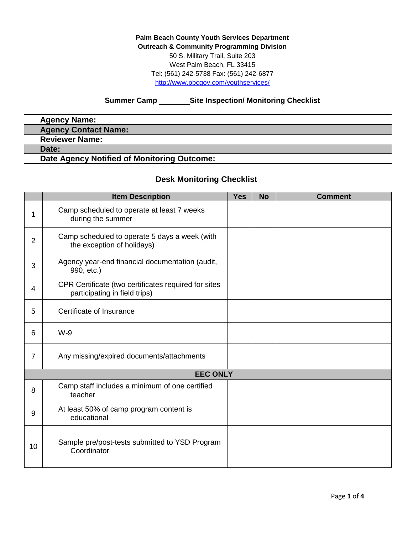**Palm Beach County Youth Services Department Outreach & Community Programming Division** 50 S. Military Trail, Suite 203 West Palm Beach, FL 33415 Tel: (561) 242-5738 Fax: (561) 242-6877 <http://www.pbcgov.com/youthservices/>

## **Summer Camp Site Inspection/ Monitoring Checklist**

| <b>Agency Name:</b>                         |  |
|---------------------------------------------|--|
| <b>Agency Contact Name:</b>                 |  |
| <b>Reviewer Name:</b>                       |  |
| Date:                                       |  |
| Date Agency Notified of Monitoring Outcome: |  |

## **Desk Monitoring Checklist**

|                 | <b>Item Description</b>                                                               | <b>Yes</b> | <b>No</b> | <b>Comment</b> |  |
|-----------------|---------------------------------------------------------------------------------------|------------|-----------|----------------|--|
| 1               | Camp scheduled to operate at least 7 weeks<br>during the summer                       |            |           |                |  |
| $\overline{2}$  | Camp scheduled to operate 5 days a week (with<br>the exception of holidays)           |            |           |                |  |
| 3               | Agency year-end financial documentation (audit,<br>990, etc.)                         |            |           |                |  |
| $\overline{4}$  | CPR Certificate (two certificates required for sites<br>participating in field trips) |            |           |                |  |
| 5               | Certificate of Insurance                                                              |            |           |                |  |
| 6               | $W-9$                                                                                 |            |           |                |  |
| $\overline{7}$  | Any missing/expired documents/attachments                                             |            |           |                |  |
| <b>EEC ONLY</b> |                                                                                       |            |           |                |  |
| 8               | Camp staff includes a minimum of one certified<br>teacher                             |            |           |                |  |
| 9               | At least 50% of camp program content is<br>educational                                |            |           |                |  |
| 10              | Sample pre/post-tests submitted to YSD Program<br>Coordinator                         |            |           |                |  |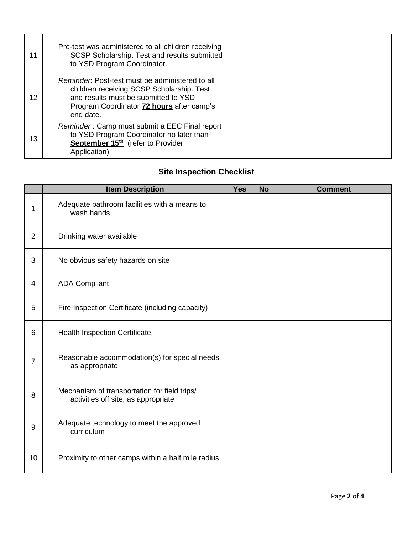| 11 | Pre-test was administered to all children receiving<br>SCSP Scholarship. Test and results submitted<br>to YSD Program Coordinator.                                                                    |  |  |
|----|-------------------------------------------------------------------------------------------------------------------------------------------------------------------------------------------------------|--|--|
| 12 | Reminder: Post-test must be administered to all<br>children receiving SCSP Scholarship. Test<br>and results must be submitted to YSD<br>Program Coordinator <b>72 hours</b> after camp's<br>end date. |  |  |
| 13 | Reminder: Camp must submit a EEC Final report<br>to YSD Program Coordinator no later than<br>September 15 <sup>th</sup> (refer to Provider<br>Application)                                            |  |  |

## **Site Inspection Checklist**

|                | <b>Item Description</b>                                                             | <b>Yes</b> | <b>No</b> | <b>Comment</b> |
|----------------|-------------------------------------------------------------------------------------|------------|-----------|----------------|
| 1              | Adequate bathroom facilities with a means to<br>wash hands                          |            |           |                |
| 2              | Drinking water available                                                            |            |           |                |
| 3              | No obvious safety hazards on site                                                   |            |           |                |
| 4              | <b>ADA Compliant</b>                                                                |            |           |                |
| 5              | Fire Inspection Certificate (including capacity)                                    |            |           |                |
| 6              | Health Inspection Certificate.                                                      |            |           |                |
| $\overline{7}$ | Reasonable accommodation(s) for special needs<br>as appropriate                     |            |           |                |
| 8              | Mechanism of transportation for field trips/<br>activities off site, as appropriate |            |           |                |
| 9              | Adequate technology to meet the approved<br>curriculum                              |            |           |                |
| 10             | Proximity to other camps within a half mile radius                                  |            |           |                |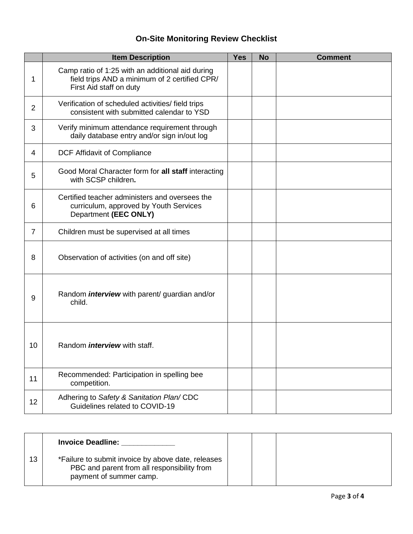## **On-Site Monitoring Review Checklist**

|                | <b>Item Description</b>                                                                                                      | <b>Yes</b> | <b>No</b> | <b>Comment</b> |
|----------------|------------------------------------------------------------------------------------------------------------------------------|------------|-----------|----------------|
| 1              | Camp ratio of 1:25 with an additional aid during<br>field trips AND a minimum of 2 certified CPR/<br>First Aid staff on duty |            |           |                |
| $\overline{2}$ | Verification of scheduled activities/ field trips<br>consistent with submitted calendar to YSD                               |            |           |                |
| 3              | Verify minimum attendance requirement through<br>daily database entry and/or sign in/out log                                 |            |           |                |
| 4              | DCF Affidavit of Compliance                                                                                                  |            |           |                |
| 5              | Good Moral Character form for all staff interacting<br>with SCSP children.                                                   |            |           |                |
| 6              | Certified teacher administers and oversees the<br>curriculum, approved by Youth Services<br>Department (EEC ONLY)            |            |           |                |
| $\overline{7}$ | Children must be supervised at all times                                                                                     |            |           |                |
| 8              | Observation of activities (on and off site)                                                                                  |            |           |                |
| 9              | Random <i>interview</i> with parent/ guardian and/or<br>child.                                                               |            |           |                |
| 10             | Random <i>interview</i> with staff.                                                                                          |            |           |                |
| 11             | Recommended: Participation in spelling bee<br>competition.                                                                   |            |           |                |
| 12             | Adhering to Safety & Sanitation Plan/CDC<br>Guidelines related to COVID-19                                                   |            |           |                |

|    | <b>Invoice Deadline:</b>                                                                                                     |  |  |
|----|------------------------------------------------------------------------------------------------------------------------------|--|--|
| 13 | *Failure to submit invoice by above date, releases<br>PBC and parent from all responsibility from<br>payment of summer camp. |  |  |